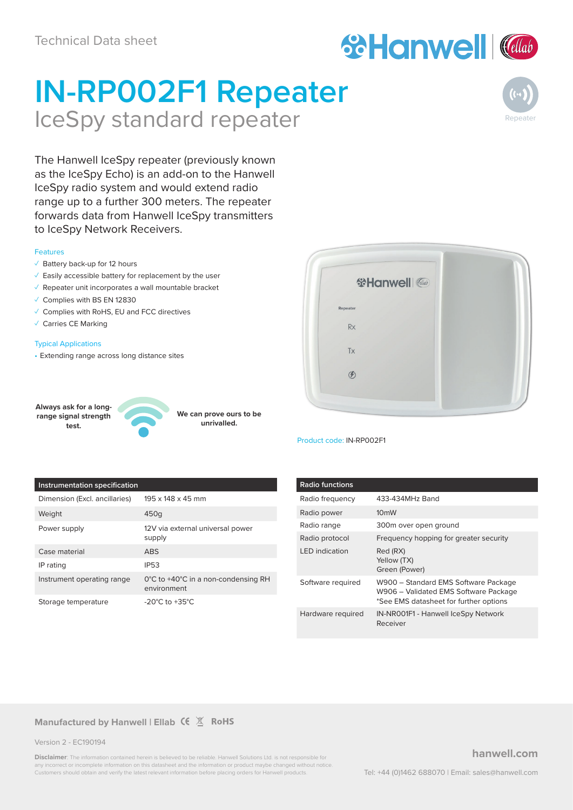# **ScHanwell (Calab**

# **IN-RP002F1 Repeater** IceSpy standard repeater



The Hanwell IceSpy repeater (previously known as the IceSpy Echo) is an add-on to the Hanwell IceSpy radio system and would extend radio range up to a further 300 meters. The repeater forwards data from Hanwell IceSpy transmitters to IceSpy Network Receivers.

#### Features

- ✓ Battery back-up for 12 hours
- ✓ Easily accessible battery for replacement by the user
- ✓ Repeater unit incorporates a wall mountable bracket
- ✓ Complies with BS EN 12830
- ✓ Complies with RoHS, EU and FCC directives
- ✓ Carries CE Marking

#### Typical Applications

• Extending range across long distance sites

**Always ask for a longrange signal strength test.**



**We can prove ours to be unrivalled.**



Product code: IN-RP002F1

#### **Instrumentation specification**

| Dimension (Excl. ancillaries) | $195 \times 148 \times 45$ mm                                           |
|-------------------------------|-------------------------------------------------------------------------|
| Weight                        | 450g                                                                    |
| Power supply                  | 12V via external universal power<br>supply                              |
| Case material                 | ARS                                                                     |
| IP rating                     | <b>IP53</b>                                                             |
| Instrument operating range    | $0^{\circ}$ C to +40 $^{\circ}$ C in a non-condensing RH<br>environment |
| Storage temperature           | -20 $^{\circ}$ C to +35 $^{\circ}$ C                                    |

| <b>Radio functions</b> |                                                                                                                         |
|------------------------|-------------------------------------------------------------------------------------------------------------------------|
| Radio frequency        | 433-434MHz Band                                                                                                         |
| Radio power            | 10 <sub>m</sub> W                                                                                                       |
| Radio range            | 300m over open ground                                                                                                   |
| Radio protocol         | Frequency hopping for greater security                                                                                  |
| <b>IFD</b> indication  | Red (RX)<br>Yellow (TX)<br>Green (Power)                                                                                |
| Software required      | W900 - Standard EMS Software Package<br>W906 - Validated EMS Software Package<br>*See EMS datasheet for further options |
| Hardware required      | IN-NR001F1 - Hanwell IceSpy Network<br>Receiver                                                                         |

#### **Manufactured by Hanwell | Ellab (** $\xi \times \mathbb{X}$  **RoHS**

Version 2 - EC190194

**Disclaimer**: The information contained herein is believed to be reliable. Hanwell Solutions Ltd. is not responsible for incorrect or incomplete information on this datasheet and the information or product maybe changed without notice Customers should obtain and verify the latest relevant information before placing orders for Hanwell products.

#### **hanwell.com**

Tel: +44 (0)1462 688070 | Email: sales@hanwell.com